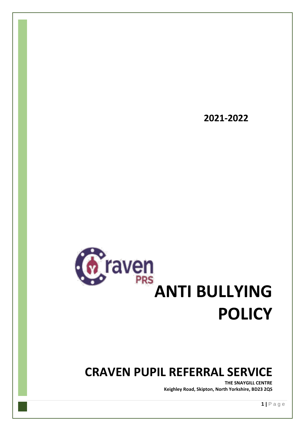

## **CRAVEN PUPIL REFERRAL SERVICE**

**THE SNAYGILL CENTRE Keighley Road, Skipton, North Yorkshire, BD23 2QS**

**2021-2022**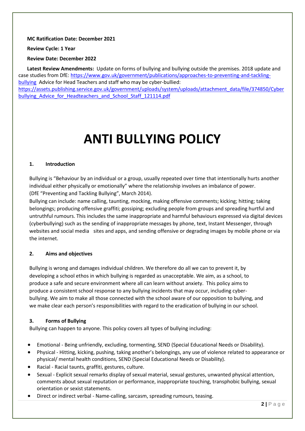#### **MC Ratification Date: December 2021**

**Review Cycle: 1 Year**

**Review Date: December 2022**

**Latest Review Amendments:** Update on forms of bullying and bullying outside the premises. 2018 update and case studies from DfE[: https://www.gov.uk/government/publications/approaches-to-preventing-and-tackling](https://www.gov.uk/government/publications/approaches-to-preventing-and-tackling-bullying)[bullying](https://www.gov.uk/government/publications/approaches-to-preventing-and-tackling-bullying) Advice for Head Teachers and staff who may be cyber-bullied: [https://assets.publishing.service.gov.uk/government/uploads/system/uploads/attachment\\_data/file/374850/Cyber](https://assets.publishing.service.gov.uk/government/uploads/system/uploads/attachment_data/file/374850/Cyberbullying_Advice_for_Headteachers_and_School_Staff_121114.pdf) bullying Advice for Headteachers and School Staff 121114.pdf

# **ANTI BULLYING POLICY**

#### **1. Introduction**

Bullying is "Behaviour by an individual or a group, usually repeated over time that intentionally hurts another individual either physically or emotionally" where the relationship involves an imbalance of power. (DfE "Preventing and Tackling Bullying", March 2014).

Bullying can include: name calling, taunting, mocking, making offensive comments; kicking; hitting; taking belongings; producing offensive graffiti; gossiping; excluding people from groups and spreading hurtful and untruthful rumours. This includes the same inappropriate and harmful behaviours expressed via digital devices (cyberbullying) such as the sending of inappropriate messages by phone, text, Instant Messenger, through websites and social media sites and apps, and sending offensive or degrading images by mobile phone or via the internet.

#### **2. Aims and objectives**

Bullying is wrong and damages individual children. We therefore do all we can to prevent it, by developing a school ethos in which bullying is regarded as unacceptable. We aim, as a school, to produce a safe and secure environment where all can learn without anxiety. This policy aims to produce a consistent school response to any bullying incidents that may occur, including cyberbullying. We aim to make all those connected with the school aware of our opposition to bullying, and we make clear each person's responsibilities with regard to the eradication of bullying in our school.

#### **3. Forms of Bullying**

Bullying can happen to anyone. This policy covers all types of bullying including:

- Emotional Being unfriendly, excluding, tormenting, SEND (Special Educational Needs or Disability).
- Physical Hitting, kicking, pushing, taking another's belongings, any use of violence related to appearance or physical/ mental health conditions, SEND (Special Educational Needs or Disability).
- Racial Racial taunts, graffiti, gestures, culture.
- Sexual Explicit sexual remarks display of sexual material, sexual gestures, unwanted physical attention, comments about sexual reputation or performance, inappropriate touching, transphobic bullying, sexual orientation or sexist statements.
- Direct or indirect verbal Name-calling, sarcasm, spreading rumours, teasing.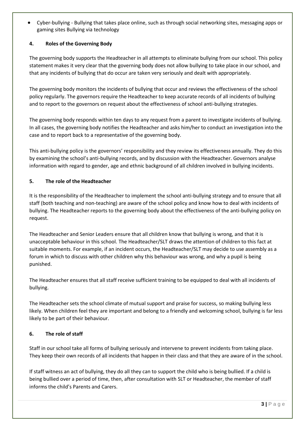• Cyber-bullying - Bullying that takes place online, such as through social networking sites, messaging apps or gaming sites Bullying via technology

#### **4. Roles of the Governing Body**

The governing body supports the Headteacher in all attempts to eliminate bullying from our school. This policy statement makes it very clear that the governing body does not allow bullying to take place in our school, and that any incidents of bullying that do occur are taken very seriously and dealt with appropriately.

The governing body monitors the incidents of bullying that occur and reviews the effectiveness of the school policy regularly. The governors require the Headteacher to keep accurate records of all incidents of bullying and to report to the governors on request about the effectiveness of school anti-bullying strategies.

The governing body responds within ten days to any request from a parent to investigate incidents of bullying. In all cases, the governing body notifies the Headteacher and asks him/her to conduct an investigation into the case and to report back to a representative of the governing body.

This anti-bullying policy is the governors' responsibility and they review its effectiveness annually. They do this by examining the school's anti-bullying records, and by discussion with the Headteacher. Governors analyse information with regard to gender, age and ethnic background of all children involved in bullying incidents.

#### **5. The role of the Headteacher**

It is the responsibility of the Headteacher to implement the school anti-bullying strategy and to ensure that all staff (both teaching and non-teaching) are aware of the school policy and know how to deal with incidents of bullying. The Headteacher reports to the governing body about the effectiveness of the anti-bullying policy on request.

The Headteacher and Senior Leaders ensure that all children know that bullying is wrong, and that it is unacceptable behaviour in this school. The Headteacher/SLT draws the attention of children to this fact at suitable moments. For example, if an incident occurs, the Headteacher/SLT may decide to use assembly as a forum in which to discuss with other children why this behaviour was wrong, and why a pupil is being punished.

The Headteacher ensures that all staff receive sufficient training to be equipped to deal with all incidents of bullying.

The Headteacher sets the school climate of mutual support and praise for success, so making bullying less likely. When children feel they are important and belong to a friendly and welcoming school, bullying is far less likely to be part of their behaviour.

#### **6. The role of staff**

Staff in our school take all forms of bullying seriously and intervene to prevent incidents from taking place. They keep their own records of all incidents that happen in their class and that they are aware of in the school.

If staff witness an act of bullying, they do all they can to support the child who is being bullied. If a child is being bullied over a period of time, then, after consultation with SLT or Headteacher, the member of staff informs the child's Parents and Carers.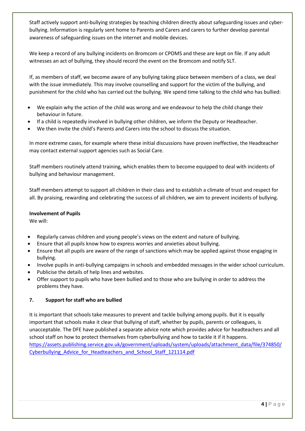Staff actively support anti-bullying strategies by teaching children directly about safeguarding issues and cyberbullying. Information is regularly sent home to Parents and Carers and carers to further develop parental awareness of safeguarding issues on the internet and mobile devices.

We keep a record of any bullying incidents on Bromcom or CPOMS and these are kept on file. If any adult witnesses an act of bullying, they should record the event on the Bromcom and notify SLT.

If, as members of staff, we become aware of any bullying taking place between members of a class, we deal with the issue immediately. This may involve counselling and support for the victim of the bullying, and punishment for the child who has carried out the bullying. We spend time talking to the child who has bullied:

- We explain why the action of the child was wrong and we endeavour to help the child change their behaviour in future.
- If a child is repeatedly involved in bullying other children, we inform the Deputy or Headteacher.
- We then invite the child's Parents and Carers into the school to discuss the situation.

In more extreme cases, for example where these initial discussions have proven ineffective, the Headteacher may contact external support agencies such as Social Care.

Staff members routinely attend training, which enables them to become equipped to deal with incidents of bullying and behaviour management.

Staff members attempt to support all children in their class and to establish a climate of trust and respect for all. By praising, rewarding and celebrating the success of all children, we aim to prevent incidents of bullying.

#### **Involvement of Pupils**

We will:

- Regularly canvas children and young people's views on the extent and nature of bullying.
- Ensure that all pupils know how to express worries and anxieties about bullying.
- Ensure that all pupils are aware of the range of sanctions which may be applied against those engaging in bullying.
- Involve pupils in anti-bullying campaigns in schools and embedded messages in the wider school curriculum.
- Publicise the details of help lines and websites.
- Offer support to pupils who have been bullied and to those who are bullying in order to address the problems they have.

#### **7. Support for staff who are bullied**

It is important that schools take measures to prevent and tackle bullying among pupils. But it is equally important that schools make it clear that bullying of staff, whether by pupils, parents or colleagues, is unacceptable. The DFE have published a separate advice note which provides advice for headteachers and all school staff on how to protect themselves from cyberbullying and how to tackle it if it happens. [https://assets.publishing.service.gov.uk/government/uploads/system/uploads/attachment\\_data/file/374850/](https://assets.publishing.service.gov.uk/government/uploads/system/uploads/attachment_data/file/374850/Cyberbullying_Advice_for_Headteachers_and_School_Staff_121114.pdf) [Cyberbullying\\_Advice\\_for\\_Headteachers\\_and\\_School\\_Staff\\_121114.pdf](https://assets.publishing.service.gov.uk/government/uploads/system/uploads/attachment_data/file/374850/Cyberbullying_Advice_for_Headteachers_and_School_Staff_121114.pdf)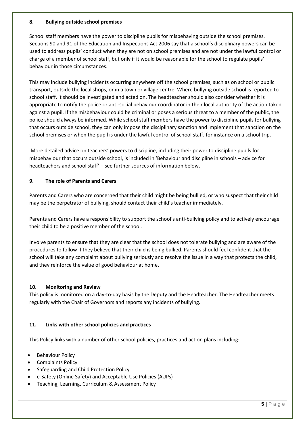#### **8. Bullying outside school premises**

School staff members have the power to discipline pupils for misbehaving outside the school premises. Sections 90 and 91 of the Education and Inspections Act 2006 say that a school's disciplinary powers can be used to address pupils' conduct when they are not on school premises and are not under the lawful control or charge of a member of school staff, but only if it would be reasonable for the school to regulate pupils' behaviour in those circumstances.

This may include bullying incidents occurring anywhere off the school premises, such as on school or public transport, outside the local shops, or in a town or village centre. Where bullying outside school is reported to school staff, it should be investigated and acted on. The headteacher should also consider whether it is appropriate to notify the police or anti-social behaviour coordinator in their local authority of the action taken against a pupil. If the misbehaviour could be criminal or poses a serious threat to a member of the public, the police should always be informed. While school staff members have the power to discipline pupils for bullying that occurs outside school, they can only impose the disciplinary sanction and implement that sanction on the school premises or when the pupil is under the lawful control of school staff, for instance on a school trip.

More detailed advice on teachers' powers to discipline, including their power to discipline pupils for misbehaviour that occurs outside school, is included in 'Behaviour and discipline in schools – advice for headteachers and school staff' – see further sources of information below.

#### **9. The role of Parents and Carers**

Parents and Carers who are concerned that their child might be being bullied, or who suspect that their child may be the perpetrator of bullying, should contact their child's teacher immediately.

Parents and Carers have a responsibility to support the school's anti-bullying policy and to actively encourage their child to be a positive member of the school.

Involve parents to ensure that they are clear that the school does not tolerate bullying and are aware of the procedures to follow if they believe that their child is being bullied. Parents should feel confident that the school will take any complaint about bullying seriously and resolve the issue in a way that protects the child, and they reinforce the value of good behaviour at home.

#### **10. Monitoring and Review**

This policy is monitored on a day-to-day basis by the Deputy and the Headteacher. The Headteacher meets regularly with the Chair of Governors and reports any incidents of bullying.

#### **11. Links with other school policies and practices**

This Policy links with a number of other school policies, practices and action plans including:

- **Behaviour Policy**
- Complaints Policy
- Safeguarding and Child Protection Policy
- e-Safety (Online Safety) and Acceptable Use Policies (AUPs)
- Teaching, Learning, Curriculum & Assessment Policy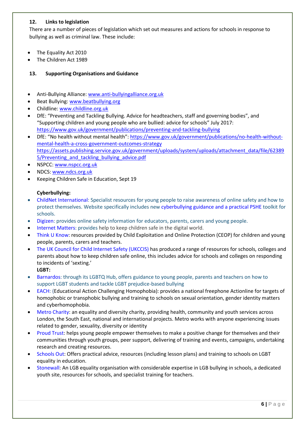#### **12. Links to legislation**

There are a number of pieces of legislation which set out measures and actions for schools in response to bullying as well as criminal law. These include:

- The Equality Act 2010
- The Children Act 1989

#### **13. Supporting Organisations and Guidance**

- Anti-Bullying Alliance: [www.anti-bullyingalliance.org.uk](http://www.anti-bullyingalliance.org.uk/)
- Beat Bullying[: www.beatbullying.org](http://www.beatbullying.org/)
- Childline: [www.childline.org.uk](http://www.childline.org.uk/)
- DfE: "Preventing and Tackling Bullying. Advice for headteachers, staff and governing bodies", and "Supporting children and young people who are bullied: advice for schools" July 2017: <https://www.gov.uk/government/publications/preventing-and-tackling-bullying>
- DfE: "No health without mental health": [https://www.gov.uk/government/publications/no-health-without](https://www.gov.uk/government/publications/no-health-withoutmental-health-a-cross-government-outcomes-strategy)[mental-health-a-cross-government-outcomes-strategy](https://www.gov.uk/government/publications/no-health-withoutmental-health-a-cross-government-outcomes-strategy) [https://assets.publishing.service.gov.uk/government/uploads/system/uploads/attachment\\_data/file/62389](https://assets.publishing.service.gov.uk/government/uploads/system/uploads/attachment_data/file/623895/Preventing_and_tackling_bullying_advice.pdf) 5/Preventing and tackling bullying advice.pdf
- NSPCC: [www.nspcc.org.uk](http://www.nspcc.org.uk/)
- NDCS: [www.ndcs.org.uk](http://www.ndcs.org.uk/)
- Keeping Children Safe in Education, Sept 19

#### **Cyberbullying:**

- [ChildNet International:](http://www.childnet.com/) Specialist resources for young people to raise awareness of online safety and how to protect themselves. Website specifically includes new [cyberbullying guidance and a practical PSHE](http://www.childnet.com/new-for-schools/cyberbullying-guidance-and-practical-toolkit) toolkit for schools.
- [Digizen:](http://www.digizen.org/) provides online safety information for educators, parents, carers and young people.
- Internet [Matters:](https://www.internetmatters.org/) provides help to keep children safe in the digital world.
- [Think U Know:](https://www.thinkuknow.co.uk/) resources provided by Child Exploitation and Online Protection (CEOP) for children and young people, parents, carers and teachers.
- [The UK Council for Child Internet Safety \(UKCCIS\)](https://www.gov.uk/government/groups/uk-council-for-child-internet-safety-ukccis) has produced a range of resources for schools, colleges and parents about how to keep children safe online, this includes advice for schools and colleges on responding to incidents of 'sexting.'
	- **LGBT:**
- [Barnardos:](http://www.barnardos.org.uk/what_we_do/our_work/lgbtq.htm) through its LGBTQ Hub, offers guidance to young people, parents and teachers on how to support LGBT students and tackle LGBT prejudice-based bullying
- [EACH:](http://www.eachaction.org.uk/) (Educational Action Challenging Homophobia): provides a national freephone Actionline for targets of homophobic or transphobic bullying and training to schools on sexual orientation, gender identity matters and cyberhomophobia.
- [Metro Charity:](https://www.metrocentreonline.org/) an equality and diversity charity, providing health, community and youth services across London, the South East, national and international projects. Metro works with anyone experiencing issues related to gender, sexuality, diversity or identity
- [Proud Trust:](https://www.theproudtrust.org/) helps young people empower themselves to make a positive change for themselves and their communities through youth groups, peer support, delivering of training and events, campaigns, undertaking research and creating resources.
- [Schools Out:](http://www.schools-out.org.uk/) Offers practical advice, resources (including lesson plans) and training to schools on LGBT equality in education.
- [Stonewall:](http://www.stonewall.org.uk/) An LGB equality organisation with considerable expertise in LGB bullying in schools, a dedicated youth site, resources for schools, and specialist training for teachers.